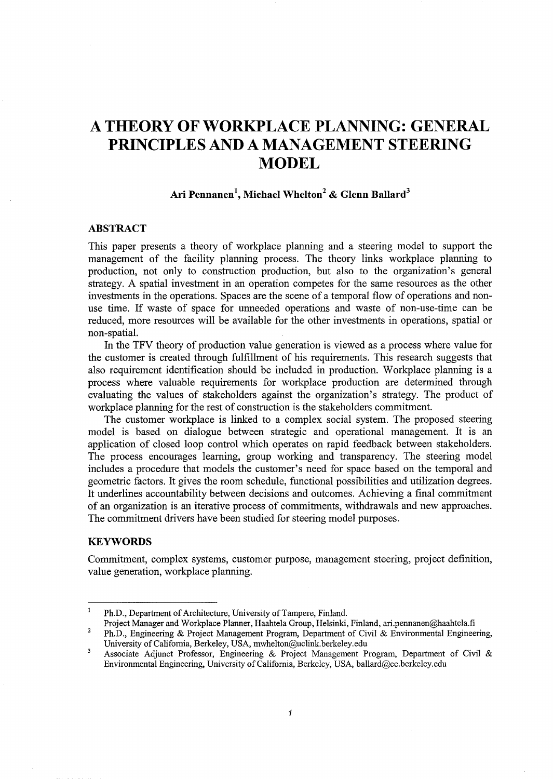# **A THEORY OF WORKPLACE PLANNING: GENERAL PRINCIPLES AND A MANAGEMENT STEERING MODEL**

# **Ari Pennanen\ Michael Whelton<sup>2</sup>& Glenn Ballard<sup>3</sup>**

# **ABSTRACT**

This paper presents a theory of workplace planning and a steering model to support the management of the facility planning process. The theory links workplace planning to production, not only to construction production, but also to the organization's general strategy. A spatial investment in an operation competes for the same resources as the other investments in the operations. Spaces are the scene of a temporal flow of operations and nonuse time. If waste of space for unneeded operations and waste of non-use-time can be reduced, more resources will be available for the other investments in operations, spatial or non-spatial.

In the TFV theory of production value generation is viewed as a process where value for the customer is created through fulfillment of his requirements. This research suggests that also requirement identification should be included in production. Workplace planning is a process where valuable requirements for workplace production are determined through evaluating the values of stakeholders against the organization's strategy. The product of workplace planning for the rest of construction is the stakeholders commitment.

The customer workplace is linked to a complex social system. The proposed steering model is based on dialogue between strategic and operational management. It is an application of closed loop control which operates on rapid feedback between stakeholders. The process encourages learning, group working and transparency. The steering model includes a procedure that models the customer's need for space based on the temporal and geometric factors. It gives the room schedule, functional possibilities and utilization degrees. It underlines accountability between decisions and outcomes. Achieving a final commitment of an organization is an iterative process of commitments, withdrawals and new approaches. The commitment drivers have been studied for steering model purposes.

# **KEYWORDS**

Commitment, complex systems, customer purpose, management steering, project definition, value generation, workplace planning.

2 Project Manager and Workplace Planner, Haahtela Group, Helsinki, Finland, ari.pennanen@haahtela.fi Ph.D., Engineering & Project Management Program, Department of Civil & Environmental Engineering,

 $\mathbf{I}$ Ph.D., Department of Architecture, University of Tampere, Finland.

University of California, Berkeley, USA, mwhelton@uclink.berkeley.edu  $\overline{\mathbf{3}}$ 

Associate Adjunct Professor, Engineering & Project Management Program, Department of Civil & Environmental Engineering, University of California, Berkeley, USA, ballard@ce.berkeley.edu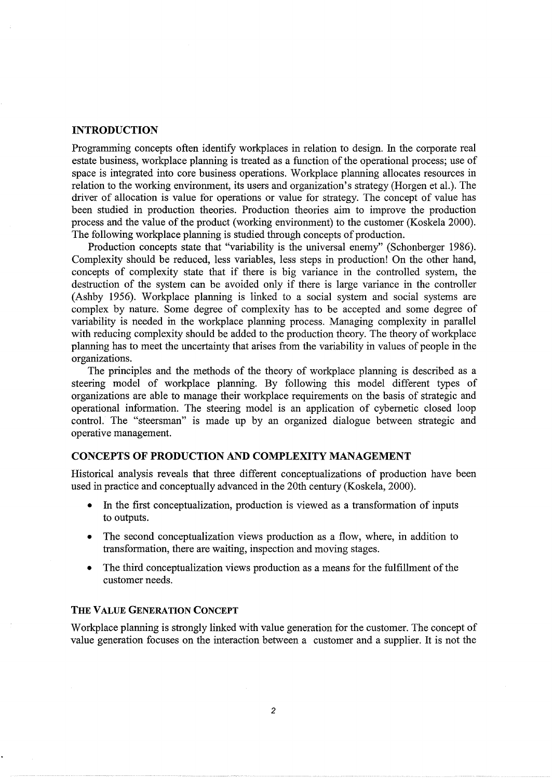#### **INTRODUCTION**

Programming concepts often identify workplaces in relation to design. In the corporate real estate business, workplace planning is treated as a function of the operational process; use of space is integrated into core business operations. Workplace planning allocates resources in relation to the working environment, its users and organization's strategy (Horgen et al.). The driver of allocation is value for operations or value for strategy. The concept of value has been studied in production theories. Production theories aim to improve the production process and the value of the product (working environment) to the customer (Koskela 2000). The following workplace planning is studied through concepts of production.

Production concepts state that "variability is the universal enemy" (Schonberger 1986). Complexity should be reduced, less variables, less steps in production! On the other hand, concepts of complexity state that if there is big variance in the controlled system, the destruction of the system can be avoided only if there is large variance in the controller (Ashby 1956). Workplace planning is linked to a social system and social systems are complex by nature. Some degree of complexity has to be accepted and some degree of variability is needed in the workplace planning process. Managing complexity in parallel with reducing complexity should be added to the production theory. The theory of workplace planning has to meet the uncertainty that arises from the variability in values of people in the organizations.

The principles and the methods of the theory of workplace planning is described as a steering model of workplace planning. By following this model different types of organizations are able to manage their workplace requirements on the basis of strategic and operational information. The steering model is an application of cybernetic closed loop control. The "steersman" is made up by an organized dialogue between strategic and operative management.

# **CONCEPTS OF PRODUCTION AND COMPLEXITY MANAGEMENT**

Historical analysis reveals that three different conceptualizations of production have been used in practice and conceptually advanced in the 20th century (Koskela, 2000).

- In the first conceptualization, production is viewed as a transformation of inputs to outputs.
- The second conceptualization views production as a flow, where, in addition to transformation, there are waiting, inspection and moving stages.
- The third conceptualization views production as a means for the fulfillment of the customer needs.

#### **THE VALUE GENERATION CONCEPT**

Workplace planning is strongly linked with value generation for the customer. The concept of value generation focuses on the interaction between a customer and a supplier. It is not the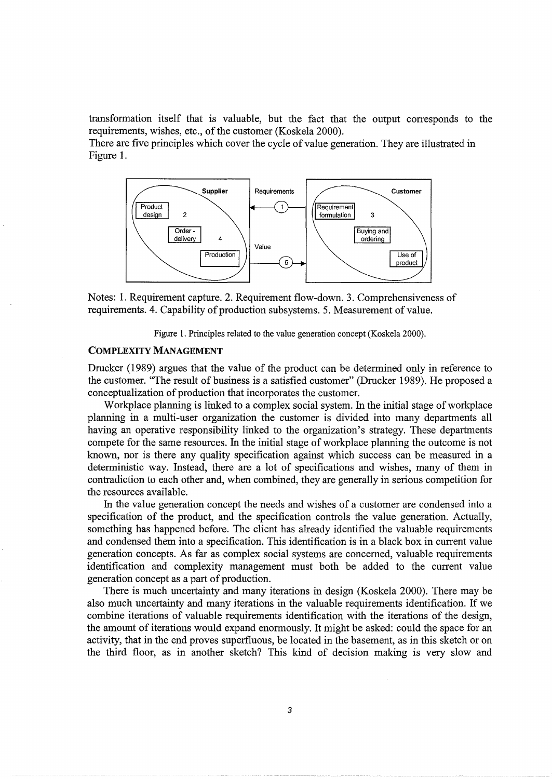transformation itself that is valuable, but the fact that the output corresponds to the requirements, wishes, etc., of the customer (Koskela 2000).

There are five principles which cover the cycle of value generation. They are illustrated in Figure 1.



Notes: 1. Requirement capture. 2. Requirement flow-down. 3. Comprehensiveness of requirements. 4. Capability of production subsystems. 5. Measurement of value.

Figure 1. Principles related to the value generation concept (Koskela 2000).

#### COMPLEXITY MANAGEMENT

Drucker (1989) argues that the value of the product can be determined only in reference to the customer. "The result of business is a satisfied customer" (Drucker 1989). He proposed a conceptualization of production that incorporates the customer.

Workplace planning is linked to a complex social system. In the initial stage of workplace planning in a multi-user organization the customer is divided into many departments all having an operative responsibility linked to the organization's strategy. These departments compete for the same resources. In the initial stage of workplace planning the outcome is not known, nor is there any quality specification against which success can be measured in a deterministic way. Instead, there are a lot of specifications and wishes, many of them in contradiction to each other and, when combined, they are generally in serious competition for the resources available.

In the value generation concept the needs and wishes of a customer are condensed into a specification of the product, and the specification controls the value generation. Actually, something has happened before. The client has already identified the valuable requirements and condensed them into a specification. This identification is in a black box in current value generation concepts. As far as complex social systems are concerned, valuable requirements identification and complexity management must both be added to the current value generation concept as a part of production.

There is much uncertainty and many iterations in design (Koskela 2000). There may be also much uncertainty and many iterations in the valuable requirements identification. If we combine iterations of valuable requirements identification with the iterations of the design, the amount of iterations would expand enormously. It might be asked: could the space for an activity, that in the end proves superfluous, be located in the basement, as in this sketch or on the third floor, as in another sketch? This kind of decision making is very slow and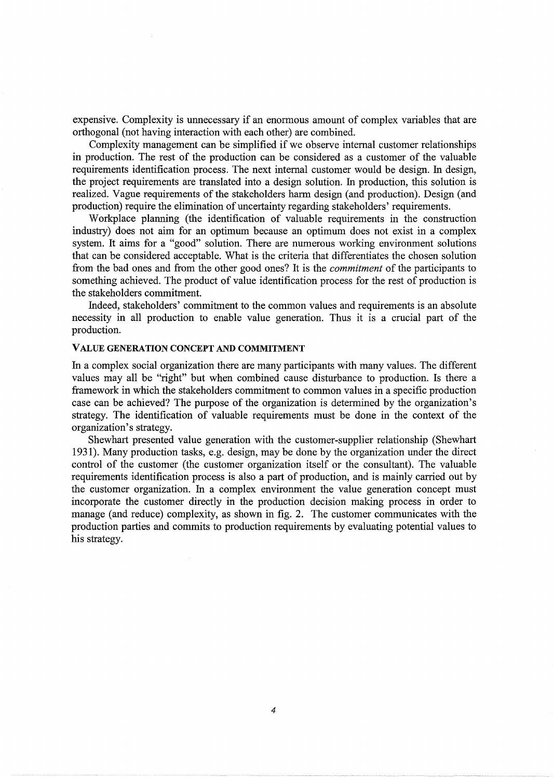expensive. Complexity is unnecessary if an enormous amount of complex variables that are orthogonal (not having interaction with each other) are combined.

Complexity management can be simplified if we observe internal customer relationships in production. The rest of the production can be considered as a customer of the valuable requirements identification process. The next internal customer would be design. In design, the project requirements are translated into a design solution. In production, this solution is realized. Vague requirements of the stakeholders harm design (and production). Design (and production) require the elimination of uncertainty regarding stakeholders' requirements.

Workplace planning (the identification of valuable requirements in the construction industry) does not aim for an optimum because an optimum does not exist in a complex system. It aims for a "good" solution. There are numerous working environment solutions that can be considered acceptable. What is the criteria that differentiates the chosen solution from the bad ones and from the other good ones? It is the *commitment* of the participants to something achieved. The product of value identification process for the rest of production is the stakeholders commitment.

Indeed, stakeholders' commitment to the common values and requirements is an absolute necessity in all production to enable value generation. Thus it is a crucial part of the production.

#### VALUE GENERATION CONCEPT AND COMMITMENT

In a complex social organization there are many participants with many values. The different values may all be "right" but when combined cause disturbance to production. Is there a framework in which the stakeholders commitment to common values in a specific production case can be achieved? The purpose of the organization is determined by the organization's strategy. The identification of valuable requirements must be done in the context of the organization's strategy.

Shewhart presented value generation with the customer-supplier relationship (Shewhart 1931). Many production tasks, e.g. design, may be done by the organization under the direct control of the customer (the customer organization itself or the consultant). The valuable requirements identification process is also a part of production, and is mainly carried out by the customer organization. In a complex environment the value generation concept must incorporate the customer directly in the production decision making process in order to manage (and reduce) complexity, as shown in fig. 2. The customer communicates with the production parties and commits to production requirements by evaluating potential values to his strategy.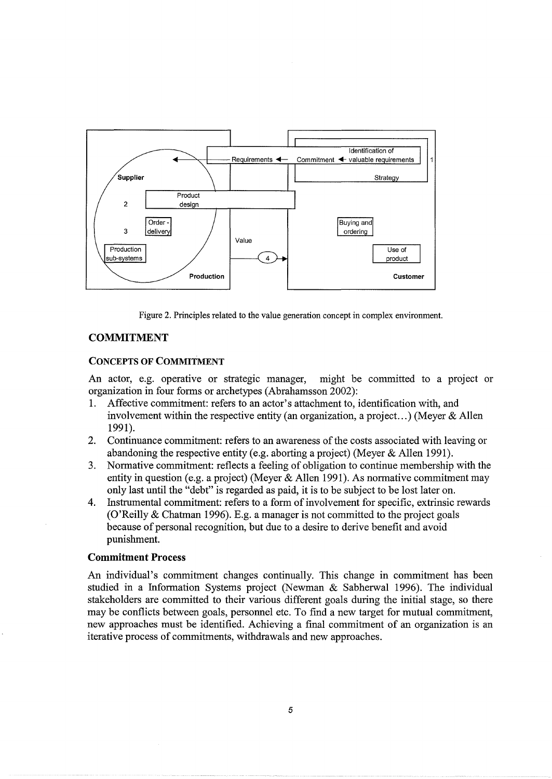

Figure 2. Principles related to the value generation concept in complex environment.

# COMMITMENT

#### CONCEPTS OF COMMITMENT

An actor, e.g. operative or strategic manager, might be committed to a project or organization in four forms or archetypes (Abrahamsson 2002):

- 1. Affective commitment: refers to an actor's attachment to, identification with, and involvement within the respective entity (an organization, a project...) (Meyer & Allen 1991).
- 2. Continuance commitment: refers to an awareness of the costs associated with leaving or abandoning the respective entity (e.g. aborting a project) (Meyer & Allen 1991).
- 3. Normative commitment: reflects a feeling of obligation to continue membership with the entity in question (e.g. a project) (Meyer & Allen 1991). As normative commitment may only last until the "debt" is regarded as paid, it is to be subject to be lost later on.
- 4. Instrumental commitment: refers to a form of involvement for specific, extrinsic rewards (O'Reilly & Chatman 1996). E.g. a manager is not committed to the project goals because of personal recognition, but due to a desire to derive benefit and avoid punishment.

# Commitment Process

An individual's commitment changes continually. This change in commitment has been studied in a Information Systems project (Newman & Sabherwal 1996). The individual stakeholders are committed to their various different goals during the initial stage, so there may be conflicts between goals, personnel etc. To find a new target for mutual commitment, new approaches must be identified. Achieving a final commitment of an organization is an iterative process of commitments, withdrawals and new approaches.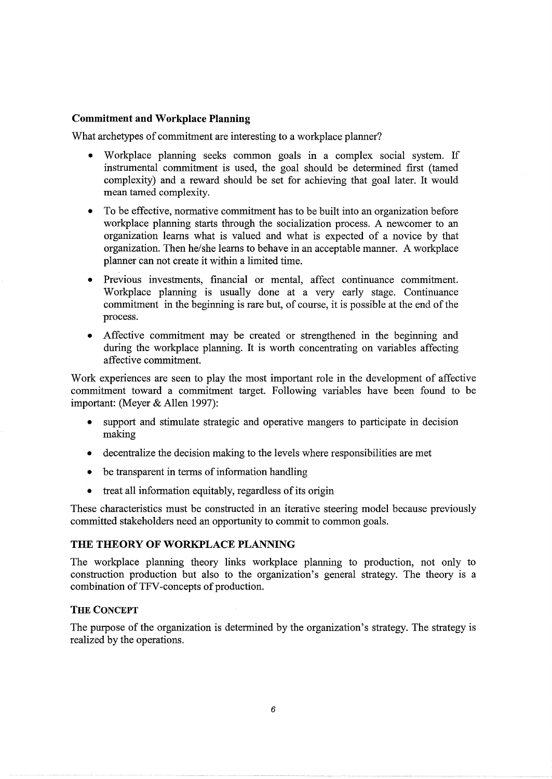# **Commitment and Workplace Planning**

What archetypes of commitment are interesting to a workplace planner?

- Workplace planning seeks common goals in a complex social system. If instrumental commitment is used, the goal should be determined first (tamed complexity) and a reward should be set for achieving that goal later. It would mean tamed complexity.
- To be effective, normative commitment has to be built into an organization before workplace planning starts through the socialization process. A newcomer to an organization learns what is valued and what is expected of a novice by that organization. Then he/she learns to behave in an acceptable manner. A workplace planner can not create it within a limited time.
- Previous investments, financial or mental, affect continuance commitment. Workplace planning is usually done at a very early stage. Continuance commitment in the beginning is rare but, of course, it is possible at the end of the process.
- Affective commitment may be created or strengthened in the beginning and during the workplace planning. It is worth concentrating on variables affecting affective commitment.

Work experiences are seen to play the most important role in the development of affective commitment toward a commitment target. Following variables have been found to be important: (Meyer & Allen 1997):

- support and stimulate strategic and operative mangers to participate in decision making
- decentralize the decision making to the levels where responsibilities are met
- be transparent in terms of information handling
- treat all information equitably, regardless of its origin

These characteristics must be constructed in an iterative steering model because previously committed stakeholders need an opportunity to commit to common goals.

# **THE THEORY OF WORKPLACE PLANNING**

The workplace planning theory links workplace planning to production, not only to construction production but also to the organization's general strategy. The theory is a combination of TFV -concepts of production.

# **THE CONCEPT**

The purpose of the organization is determined by the organization's strategy. The strategy is realized by the operations.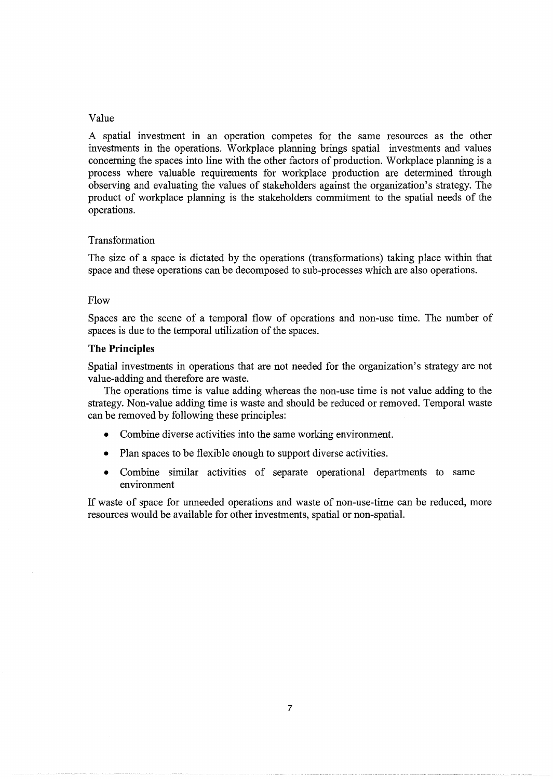#### Value

A spatial investment in an operation competes for the same resources as the other investments in the operations. Workplace planning brings spatial investments and values concerning the spaces into line with the other factors of production. Workplace planning is a process where valuable requirements for workplace production are determined through observing and evaluating the values of stakeholders against the organization's strategy. The product of workplace planning is the stakeholders commitment to the spatial needs of the operations.

#### Transformation

The size of a space is dictated by the operations (transformations) taking place within that space and these operations can be decomposed to sub-processes which are also operations.

#### Flow

Spaces are the scene of a temporal flow of operations and non-use time. The number of spaces is due to the temporal utilization of the spaces.

#### **The Principles**

Spatial investments in operations that are not needed for the organization's strategy are not value-adding and therefore are waste.

The operations time is value adding whereas the non-use time is not value adding to the strategy. Non-value adding time is waste and should be reduced or removed. Temporal waste can be removed by following these principles:

- Combine diverse activities into the same working environment.
- Plan spaces to be flexible enough to support diverse activities.
- Combine similar activities of separate operational departments to same environment

If waste of space for unneeded operations and waste of non-use-time can be reduced, more resources would be available for other investments, spatial or non-spatial.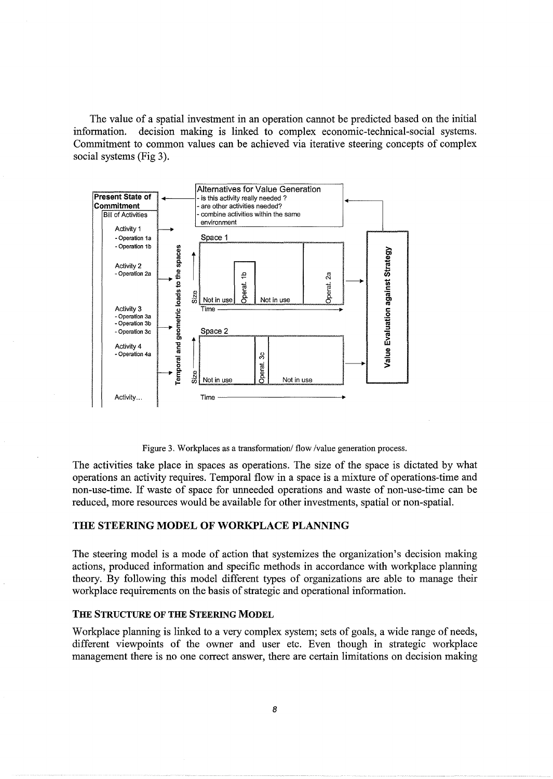The value of a spatial investment in an operation cannot be predicted based on the initial information. decision making is linked to complex economic-technical-social systems. Commitment to common values can be achieved via iterative steering concepts of complex social systems (Fig 3).



Figure 3. Workplaces as a transformation/ flow /value generation process.

The activities take place in spaces as operations. The size of the space is dictated by what operations an activity requires. Temporal flow in a space is a mixture of operations-time and non-use-time. If waste of space for unneeded operations and waste of non-use-time can be reduced, more resources would be available for other investments, spatial or non-spatial.

#### **THE STEERING MODEL OF WORKPLACE PLANNING**

The steering model is a mode of action that systemizes the organization's decision making actions, produced information and specific methods in accordance with workplace planning theory. By following this model different types of organizations are able to manage their workplace requirements on the basis of strategic and operational information.

#### **THE STRUCTURE OF THE STEERING MODEL**

Workplace planning is linked to a very complex system; sets of goals, a wide range of needs, different viewpoints of the owner and user etc. Even though in strategic workplace management there is no one correct answer, there are certain limitations on decision making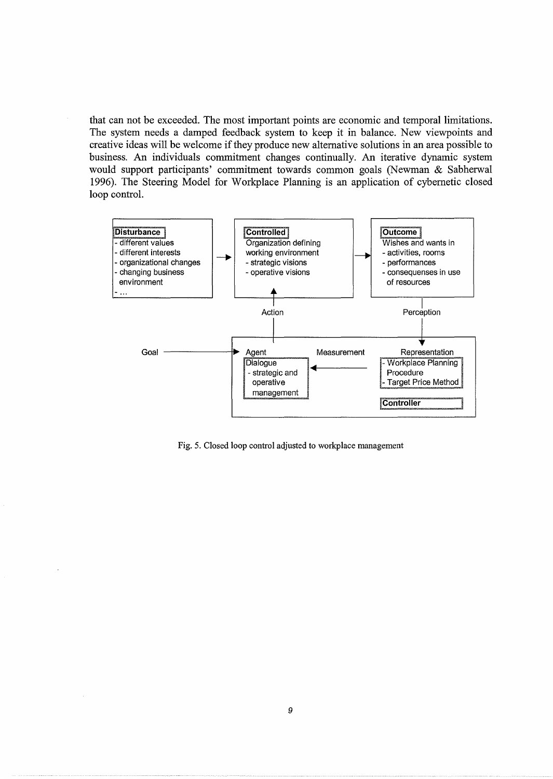that can not be exceeded. The most important points are economic and temporal limitations. The system needs a damped feedback system to keep it in balance. New viewpoints and creative ideas will be welcome if they produce new alternative solutions in an area possible to business. An individuals commitment changes continually. An iterative dynamic system would support participants' commitment towards common goals (Newman & Sabherwal 1996). The Steering Model for Workplace Planning is an application of cybernetic closed loop control.



Fig. 5. Closed loop control adjusted to workplace management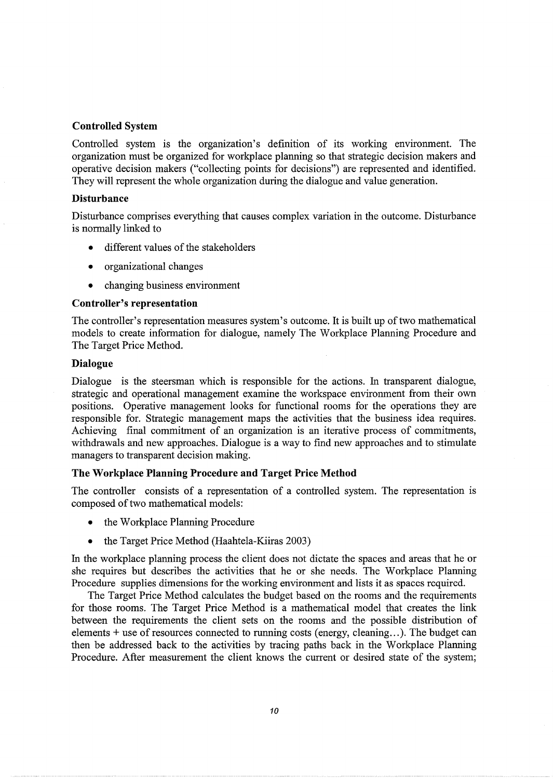# Controlled System

Controlled system is the organization's definition of its working environment. The organization must be organized for workplace planning so that strategic decision makers and operative decision makers ("collecting points for decisions") are represented and identified. They will represent the whole organization during the dialogue and value generation.

#### **Disturbance**

Disturbance comprises everything that causes complex variation in the outcome. Disturbance is normally linked to

- different values of the stakeholders
- organizational changes
- changing business environment

#### Controller's representation

The controller's representation measures system's outcome. It is built up of two mathematical models to create information for dialogue, namely The Workplace Planning Procedure and The Target Price Method.

#### Dialogue

Dialogue is the steersman which is responsible for the actions. In transparent dialogue, strategic and operational management examine the workspace environment from their own positions. Operative management looks for functional rooms for the operations they are responsible for. Strategic management maps the activities that the business idea requires. Achieving final commitment of an organization is an iterative process of commitments, withdrawals and new approaches. Dialogue is a way to find new approaches and to stimulate managers to transparent decision making.

# The Workplace Planning Procedure and Target Price Method

The controller consists of a representation of a controlled system. The representation is composed of two mathematical models:

- the Workplace Planning Procedure
- the Target Price Method (Haahtela-Kiiras 2003)

In the workplace planning process the client does not dictate the spaces and areas that he or she requires but describes the activities that he or she needs. The Workplace Planning Procedure supplies dimensions for the working environment and lists it as spaces required.

The Target Price Method calculates the budget based on the rooms and the requirements for those rooms. The Target Price Method is a mathematical model that creates the link between the requirements the client sets on the rooms and the possible distribution of elements  $+$  use of resources connected to running costs (energy, cleaning...). The budget can then be addressed back to the activities by tracing paths back in the Workplace Planning Procedure. After measurement the client knows the current or desired state of the system;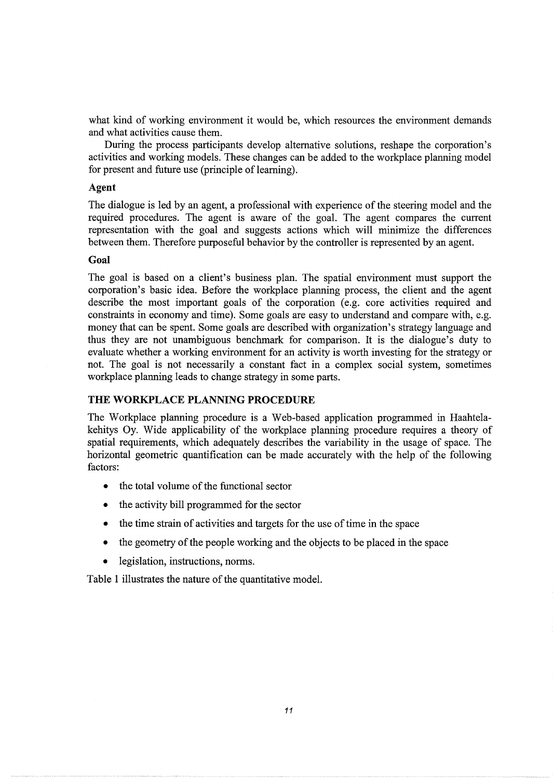what kind of working environment it would be, which resources the environment demands and what activities cause them.

During the process participants develop alternative solutions, reshape the corporation's activities and working models. These changes can be added to the workplace planning model for present and future use (principle of learning).

#### **Agent**

The dialogue is led by an agent, a professional with experience of the steering model and the required procedures. The agent is aware of the goal. The agent compares the current representation with the goal and suggests actions which will minimize the differences between them. Therefore purposeful behavior by the controller is represented by an agent.

### **Goal**

The goal is based on a client's business plan. The spatial environment must support the corporation's basic idea. Before the workplace planning process, the client and the agent describe the most important goals of the corporation (e.g. core activities required and constraints in economy and time). Some goals are easy to understand and compare with, e.g. money that can be spent. Some goals are described with organization's strategy language and thus they are not unambiguous benchmark for comparison. It is the dialogue's duty to evaluate whether a working environment for an activity is worth investing for the strategy or not. The goal is not necessarily a constant fact in a complex social system, sometimes workplace planning leads to change strategy in some parts.

# **THE WORKPLACE PLANNING PROCEDURE**

The Workplace planning procedure is a Web-based application programmed in Haahtelakehitys Oy. Wide applicability of the workplace planning procedure requires a theory of spatial requirements, which adequately describes the variability in the usage of space. The horizontal geometric quantification can be made accurately with the help of the following factors:

- the total volume of the functional sector
- the activity bill programmed for the sector
- the time strain of activities and targets for the use of time in the space
- the geometry of the people working and the objects to be placed in the space
- legislation, instructions, norms.

Table **1** illustrates the nature of the quantitative model.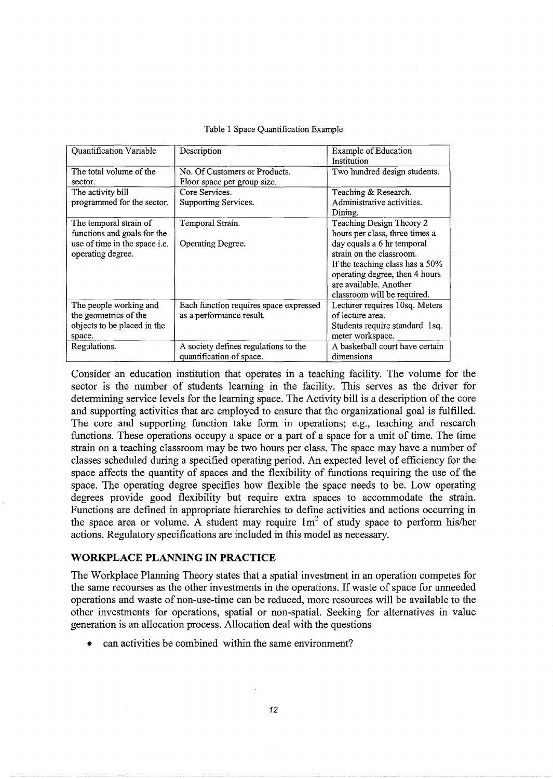|  |  | Table 1 Space Quantification Example |  |
|--|--|--------------------------------------|--|
|--|--|--------------------------------------|--|

| Quantification Variable       | Description                            | <b>Example of Education</b>     |
|-------------------------------|----------------------------------------|---------------------------------|
|                               |                                        | Institution                     |
| The total volume of the       | No. Of Customers or Products.          | Two hundred design students.    |
| sector.                       | Floor space per group size.            |                                 |
| The activity bill             | Core Services.                         | Teaching & Research.            |
| programmed for the sector.    | Supporting Services.                   | Administrative activities.      |
|                               |                                        | Dining.                         |
| The temporal strain of        | Temporal Strain.                       | Teaching Design Theory 2        |
| functions and goals for the   |                                        | hours per class, three times a  |
| use of time in the space i.e. | Operating Degree.                      | day equals a 6 hr temporal      |
| operating degree.             |                                        | strain on the classroom.        |
|                               |                                        | If the teaching class has a 50% |
|                               |                                        | operating degree, then 4 hours  |
|                               |                                        | are available. Another          |
|                               |                                        | classroom will be required.     |
| The people working and        | Each function requires space expressed | Lecturer requires 10sq. Meters  |
| the geometrics of the         | as a performance result.               | of lecture area.                |
| objects to be placed in the   |                                        | Students require standard 1sq.  |
| space.                        |                                        | meter workspace.                |
| Regulations.                  | A society defines regulations to the   | A basketball court have certain |
|                               | quantification of space.               | dimensions                      |

Consider an education institution that operates in a teaching facility. The volume for the sector is the number of students learning in the facility. This serves as the driver for determining service levels for the learning space. The Activity bill is a description of the core and supporting activities that are employed to ensure that the organizational goal is fulfilled. The core and supporting function take form in operations; e.g., teaching and research functions. These operations occupy a space or a part of a space for a unit of time. The time strain on a teaching classroom may be two hours per class. The space may have a number of classes scheduled during a specified operating period. An expected level of efficiency for the space affects the quantity of spaces and the flexibility of functions requiring the use of the space. The operating degree specifies how flexible the space needs to be. Low operating degrees provide good flexibility but require extra spaces to accommodate the strain. Functions are defined in appropriate hierarchies to define activities and actions occurring in the space area or volume. A student may require  $1m<sup>2</sup>$  of study space to perform his/her actions. Regulatory specifications are included in this model as necessary.

# **WORKPLACE PLANNING IN PRACTICE**

The Workplace Planning Theory states that a spatial investment in an operation competes for the same recourses as the other investments in the operations. If waste of space for unneeded operations and waste of non-use-time can be reduced, more resources will be available to the other investments for operations, spatial or non-spatial. Seeking for alternatives in value generation is an allocation process. Allocation deal with the questions

can activities be combined within the same environment?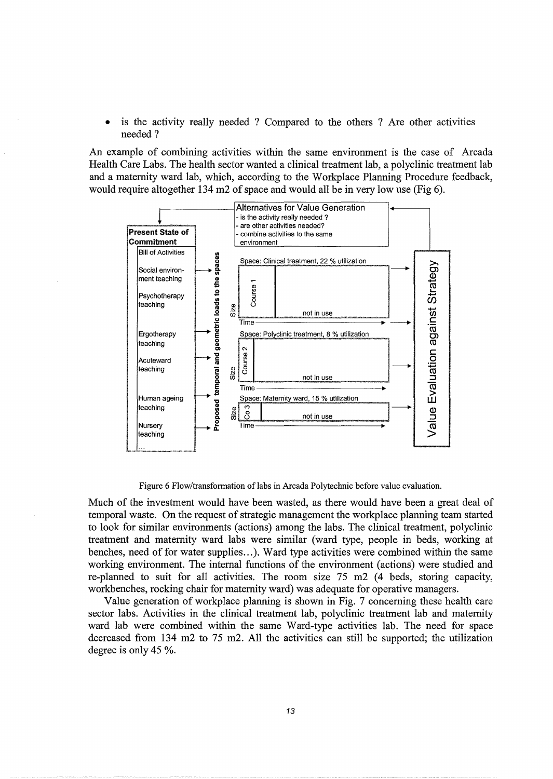is the activity really needed ? Compared to the others ? Are other activities needed?

An example of combining activities within the same environment is the case of Arcada Health Care Labs. The health sector wanted a clinical treatment lab, a polyclinic treatment lab and a maternity ward lab, which, according to the Workplace Planning Procedure feedback, would require altogether 134 m2 of space and would all be in very low use (Fig 6).



Figure 6 Flow/transformation of labs in Arcada Polytechnic before value evaluation.

Much of the investment would have been wasted, as there would have been a great deal of temporal waste. On the request of strategic management the workplace planning team started to look for similar environments (actions) among the labs. The clinical treatment, polyclinic treatment and maternity ward labs were similar (ward type, people in beds, working at benches, need of for water supplies...). Ward type activities were combined within the same working environment. The internal functions of the environment (actions) were studied and re-planned to suit for all activities. The room size 75 m2 (4 beds, storing capacity, workbenches, rocking chair for maternity ward) was adequate for operative managers.

Value generation of workplace planning is shown in Fig. 7 concerning these health care sector labs. Activities in the clinical treatment lab, polyclinic treatment lab and maternity ward lab were combined within the same Ward-type activities lab. The need for space decreased from 134 m2 to 75 m2. All the activities can still be supported; the utilization degree is only 45 %.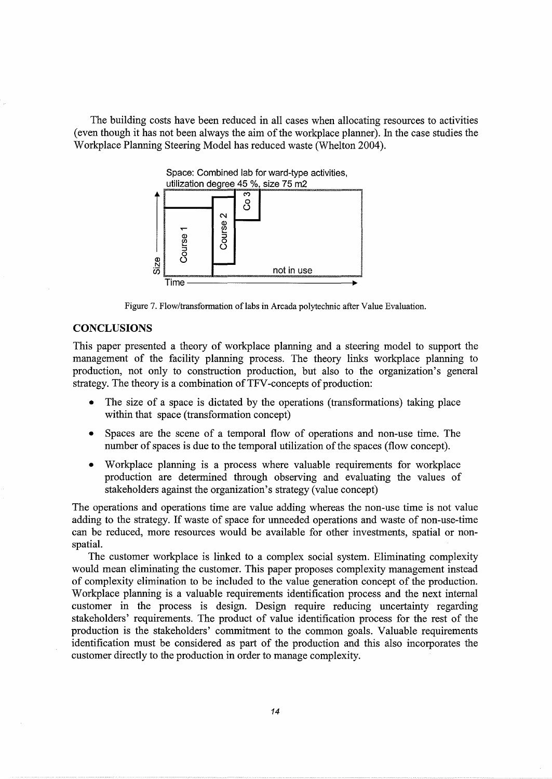The building costs have been reduced in all cases when allocating resources to activities (even though it has not been always the aim of the workplace planner). In the case studies the Workplace Planning Steering Model has reduced waste (Whelton 2004).



Figure 7. Flow/transformation of labs in Arcada polytechnic after Value Evaluation.

## **CONCLUSIONS**

This paper presented a theory of workplace planning and a steering model to support the management of the facility planning process. The theory links workplace planning to production, not only to construction production, but also to the organization's general strategy. The theory is a combination of TFV -concepts of production:

- The size of a space is dictated by the operations (transformations) taking place within that space (transformation concept)
- Spaces are the scene of a temporal flow of operations and non-use time. The number of spaces is due to the temporal utilization of the spaces (flow concept).
- Workplace planning is a process where valuable requirements for workplace production are determined through observing and evaluating the values of stakeholders against the organization's strategy (value concept)

The operations and operations time are value adding whereas the non-use time is not value adding to the strategy. If waste of space for unneeded operations and waste of non-use-time can be reduced, more resources would be available for other investments, spatial or nonspatial.

The customer workplace is linked to a complex social system. Eliminating complexity would mean eliminating the customer. This paper proposes complexity management instead of complexity elimination to be included to the value generation concept of the production. Workplace planning is a valuable requirements identification process and the next internal customer in the process is design. Design require reducing uncertainty regarding stakeholders' requirements. The product of value identification process for the rest of the production is the stakeholders' commitment to the common goals. Valuable requirements identification must be considered as part of the production and this also incorporates the customer directly to the production in order to manage complexity.